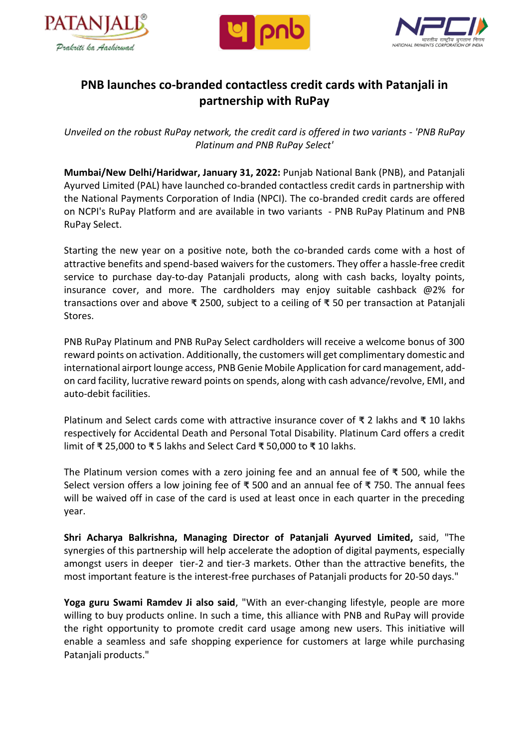





## **PNB launches co-branded contactless credit cards with Patanjali in partnership with RuPay**

*Unveiled on the robust RuPay network, the credit card is offered in two variants - 'PNB RuPay Platinum and PNB RuPay Select'*

**Mumbai/New Delhi/Haridwar, January 31, 2022:** Punjab National Bank (PNB), and Patanjali Ayurved Limited (PAL) have launched co-branded contactless credit cards in partnership with the National Payments Corporation of India (NPCI). The co-branded credit cards are offered on NCPI's RuPay Platform and are available in two variants - PNB RuPay Platinum and PNB RuPay Select.

Starting the new year on a positive note, both the co-branded cards come with a host of attractive benefits and spend-based waivers for the customers. They offer a hassle-free credit service to purchase day-to-day Patanjali products, along with cash backs, loyalty points, insurance cover, and more. The cardholders may enjoy suitable cashback @2% for transactions over and above **₹** 2500, subject to a ceiling of **₹** 50 per transaction at Patanjali Stores.

PNB RuPay Platinum and PNB RuPay Select cardholders will receive a welcome bonus of 300 reward points on activation. Additionally, the customers will get complimentary domestic and international airport lounge access, PNB Genie Mobile Application for card management, addon card facility, lucrative reward points on spends, along with cash advance/revolve, EMI, and auto-debit facilities.

Platinum and Select cards come with attractive insurance cover of **₹** 2 lakhs and **₹** 10 lakhs respectively for Accidental Death and Personal Total Disability. Platinum Card offers a credit limit of **₹** 25,000 to **₹** 5 lakhs and Select Card **₹** 50,000 to **₹** 10 lakhs.

The Platinum version comes with a zero joining fee and an annual fee of **₹** 500, while the Select version offers a low joining fee of **₹** 500 and an annual fee of **₹** 750. The annual fees will be waived off in case of the card is used at least once in each quarter in the preceding year.

**Shri Acharya Balkrishna, Managing Director of Patanjali Ayurved Limited,** said, "The synergies of this partnership will help accelerate the adoption of digital payments, especially amongst users in deeper tier-2 and tier-3 markets. Other than the attractive benefits, the most important feature is the interest-free purchases of Patanjali products for 20-50 days."

**Yoga guru Swami Ramdev Ji also said**, "With an ever-changing lifestyle, people are more willing to buy products online. In such a time, this alliance with PNB and RuPay will provide the right opportunity to promote credit card usage among new users. This initiative will enable a seamless and safe shopping experience for customers at large while purchasing Patanjali products."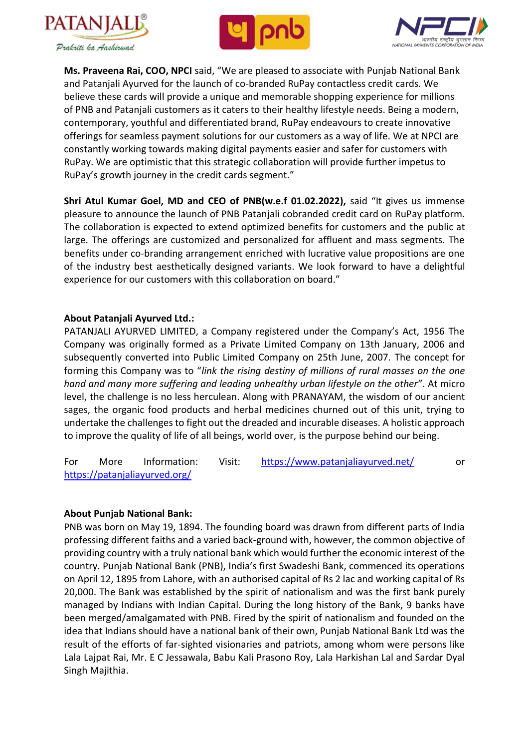





**Ms. Praveena Rai, COO, NPCI** said, "We are pleased to associate with Punjab National Bank and Patanjali Ayurved for the launch of co-branded RuPay contactless credit cards. We believe these cards will provide a unique and memorable shopping experience for millions of PNB and Patanjali customers as it caters to their healthy lifestyle needs. Being a modern, contemporary, youthful and differentiated brand, RuPay endeavours to create innovative offerings for seamless payment solutions for our customers as a way of life. We at NPCI are constantly working towards making digital payments easier and safer for customers with RuPay. We are optimistic that this strategic collaboration will provide further impetus to RuPay's growth journey in the credit cards segment."

**Shri Atul Kumar Goel, MD and CEO of PNB(w.e.f 01.02.2022),** said "It gives us immense pleasure to announce the launch of PNB Patanjali cobranded credit card on RuPay platform. The collaboration is expected to extend optimized benefits for customers and the public at large. The offerings are customized and personalized for affluent and mass segments. The benefits under co-branding arrangement enriched with lucrative value propositions are one of the industry best aesthetically designed variants. We look forward to have a delightful experience for our customers with this collaboration on board."

## **About Patanjali Ayurved Ltd.:**

PATANJALI AYURVED LIMITED, a Company registered under the Company's Act, 1956 The Company was originally formed as a Private Limited Company on 13th January, 2006 and subsequently converted into Public Limited Company on 25th June, 2007. The concept for forming this Company was to "*link the rising destiny of millions of rural masses on the one hand and many more suffering and leading unhealthy urban lifestyle on the other"*. At micro level, the challenge is no less herculean. Along with PRANAYAM, the wisdom of our ancient sages, the organic food products and herbal medicines churned out of this unit, trying to undertake the challenges to fight out the dreaded and incurable diseases. A holistic approach to improve the quality of life of all beings, world over, is the purpose behind our being.

For More Information: Visit: <https://www.patanjaliayurved.net/>or <https://patanjaliayurved.org/>

## **About Punjab National Bank:**

PNB was born on May 19, 1894. The founding board was drawn from different parts of India professing different faiths and a varied back-ground with, however, the common objective of providing country with a truly national bank which would further the economic interest of the country. Punjab National Bank (PNB), India's first Swadeshi Bank, commenced its operations on April 12, 1895 from Lahore, with an authorised capital of Rs 2 lac and working capital of Rs 20,000. The Bank was established by the spirit of nationalism and was the first bank purely managed by Indians with Indian Capital. During the long history of the Bank, 9 banks have been merged/amalgamated with PNB. Fired by the spirit of nationalism and founded on the idea that Indians should have a national bank of their own, Punjab National Bank Ltd was the result of the efforts of far-sighted visionaries and patriots, among whom were persons like Lala Lajpat Rai, Mr. E C Jessawala, Babu Kali Prasono Roy, Lala Harkishan Lal and Sardar Dyal Singh Majithia.